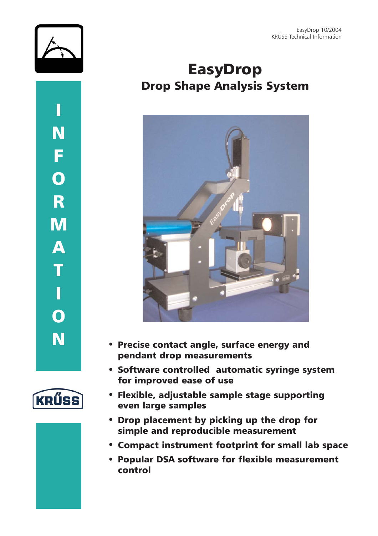



# EasyDrop Drop Shape Analysis System



- Precise contact angle, surface energy and pendant drop measurements
- Software controlled automatic syringe system for improved ease of use
- Flexible, adjustable sample stage supporting even large samples
- Drop placement by picking up the drop for simple and reproducible measurement
- Compact instrument footprint for small lab space
- Popular DSA software for flexible measurement control